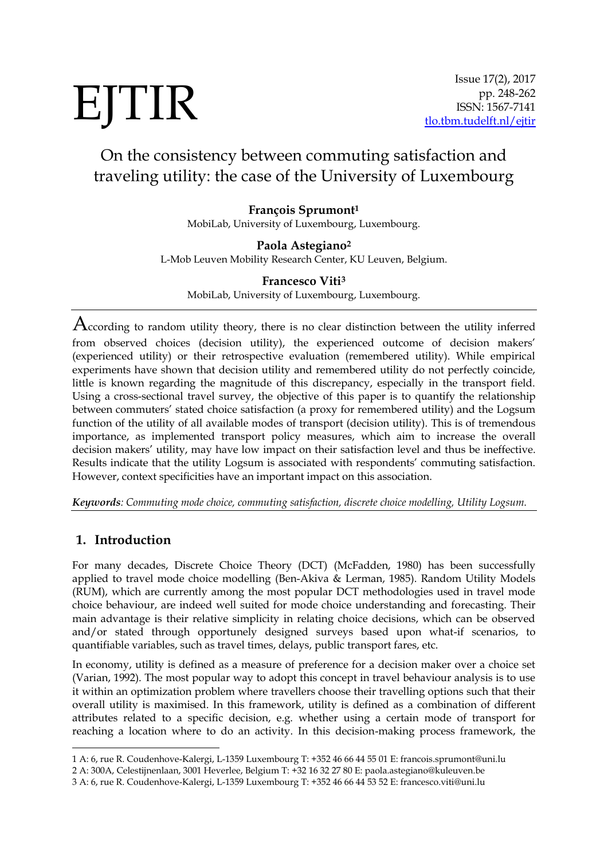# EJTIR

# On the consistency between commuting satisfaction and traveling utility: the case of the University of Luxembourg

# **François Sprumont<sup>1</sup>**

MobiLab, University of Luxembourg, Luxembourg.

# **Paola Astegiano<sup>2</sup>**

L-Mob Leuven Mobility Research Center, KU Leuven, Belgium.

# **Francesco Viti<sup>3</sup>**

MobiLab, University of Luxembourg, Luxembourg.

 $A$ ccording to random utility theory, there is no clear distinction between the utility inferred from observed choices (decision utility), the experienced outcome of decision makers' (experienced utility) or their retrospective evaluation (remembered utility). While empirical experiments have shown that decision utility and remembered utility do not perfectly coincide, little is known regarding the magnitude of this discrepancy, especially in the transport field. Using a cross-sectional travel survey, the objective of this paper is to quantify the relationship between commuters' stated choice satisfaction (a proxy for remembered utility) and the Logsum function of the utility of all available modes of transport (decision utility). This is of tremendous importance, as implemented transport policy measures, which aim to increase the overall decision makers' utility, may have low impact on their satisfaction level and thus be ineffective. Results indicate that the utility Logsum is associated with respondents' commuting satisfaction. However, context specificities have an important impact on this association.

*Keywords: Commuting mode choice, commuting satisfaction, discrete choice modelling, Utility Logsum.*

# **1. Introduction**

For many decades, Discrete Choice Theory (DCT) (McFadden, 1980) has been successfully applied to travel mode choice modelling (Ben-Akiva & Lerman, 1985). Random Utility Models (RUM), which are currently among the most popular DCT methodologies used in travel mode choice behaviour, are indeed well suited for mode choice understanding and forecasting. Their main advantage is their relative simplicity in relating choice decisions, which can be observed and/or stated through opportunely designed surveys based upon what-if scenarios, to quantifiable variables, such as travel times, delays, public transport fares, etc.

In economy, utility is defined as a measure of preference for a decision maker over a choice set (Varian, 1992). The most popular way to adopt this concept in travel behaviour analysis is to use it within an optimization problem where travellers choose their travelling options such that their overall utility is maximised. In this framework, utility is defined as a combination of different attributes related to a specific decision, e.g. whether using a certain mode of transport for reaching a location where to do an activity. In this decision-making process framework, the

**<sup>.</sup>** 1 A: 6, rue R. Coudenhove-Kalergi, L-1359 Luxembourg T: +352 46 66 44 55 01 E: francois.sprumont@uni.lu

<sup>2</sup> A: 300A, Celestijnenlaan, 3001 Heverlee, Belgium T: +32 16 32 27 80 E: paola.astegiano@kuleuven.be

<sup>3</sup> A: 6, rue R. Coudenhove-Kalergi, L-1359 Luxembourg T: +352 46 66 44 53 52 E: francesco.viti@uni.lu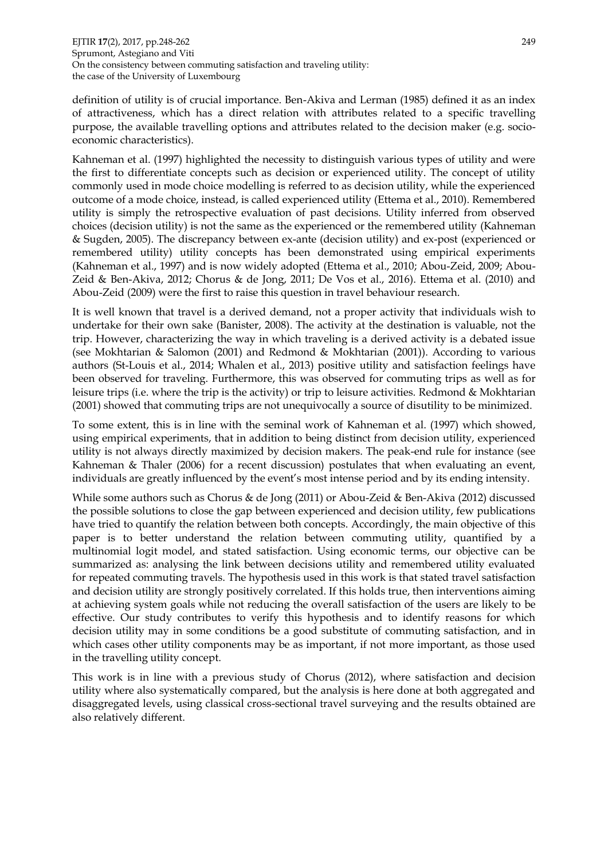EJTIR **17**(2), 2017, pp.248-262 249 Sprumont, Astegiano and Viti On the consistency between commuting satisfaction and traveling utility: the case of the University of Luxembourg

definition of utility is of crucial importance. Ben-Akiva and Lerman (1985) defined it as an index of attractiveness, which has a direct relation with attributes related to a specific travelling purpose, the available travelling options and attributes related to the decision maker (e.g. socioeconomic characteristics).

Kahneman et al. (1997) highlighted the necessity to distinguish various types of utility and were the first to differentiate concepts such as decision or experienced utility. The concept of utility commonly used in mode choice modelling is referred to as decision utility, while the experienced outcome of a mode choice, instead, is called experienced utility (Ettema et al., 2010). Remembered utility is simply the retrospective evaluation of past decisions. Utility inferred from observed choices (decision utility) is not the same as the experienced or the remembered utility (Kahneman & Sugden, 2005). The discrepancy between ex-ante (decision utility) and ex-post (experienced or remembered utility) utility concepts has been demonstrated using empirical experiments (Kahneman et al., 1997) and is now widely adopted (Ettema et al., 2010; Abou-Zeid, 2009; Abou-Zeid & Ben-Akiva, 2012; Chorus & de Jong, 2011; De Vos et al., 2016). Ettema et al. (2010) and Abou-Zeid (2009) were the first to raise this question in travel behaviour research.

It is well known that travel is a derived demand, not a proper activity that individuals wish to undertake for their own sake (Banister, 2008). The activity at the destination is valuable, not the trip. However, characterizing the way in which traveling is a derived activity is a debated issue (see Mokhtarian & Salomon (2001) and Redmond & Mokhtarian (2001)). According to various authors (St-Louis et al., 2014; Whalen et al., 2013) positive utility and satisfaction feelings have been observed for traveling. Furthermore, this was observed for commuting trips as well as for leisure trips (i.e. where the trip is the activity) or trip to leisure activities. Redmond & Mokhtarian (2001) showed that commuting trips are not unequivocally a source of disutility to be minimized.

To some extent, this is in line with the seminal work of Kahneman et al. (1997) which showed, using empirical experiments, that in addition to being distinct from decision utility, experienced utility is not always directly maximized by decision makers. The peak-end rule for instance (see Kahneman & Thaler (2006) for a recent discussion) postulates that when evaluating an event, individuals are greatly influenced by the event's most intense period and by its ending intensity.

While some authors such as Chorus & de Jong (2011) or Abou-Zeid & Ben-Akiva (2012) discussed the possible solutions to close the gap between experienced and decision utility, few publications have tried to quantify the relation between both concepts. Accordingly, the main objective of this paper is to better understand the relation between commuting utility, quantified by a multinomial logit model, and stated satisfaction. Using economic terms, our objective can be summarized as: analysing the link between decisions utility and remembered utility evaluated for repeated commuting travels. The hypothesis used in this work is that stated travel satisfaction and decision utility are strongly positively correlated. If this holds true, then interventions aiming at achieving system goals while not reducing the overall satisfaction of the users are likely to be effective. Our study contributes to verify this hypothesis and to identify reasons for which decision utility may in some conditions be a good substitute of commuting satisfaction, and in which cases other utility components may be as important, if not more important, as those used in the travelling utility concept.

This work is in line with a previous study of Chorus (2012), where satisfaction and decision utility where also systematically compared, but the analysis is here done at both aggregated and disaggregated levels, using classical cross-sectional travel surveying and the results obtained are also relatively different.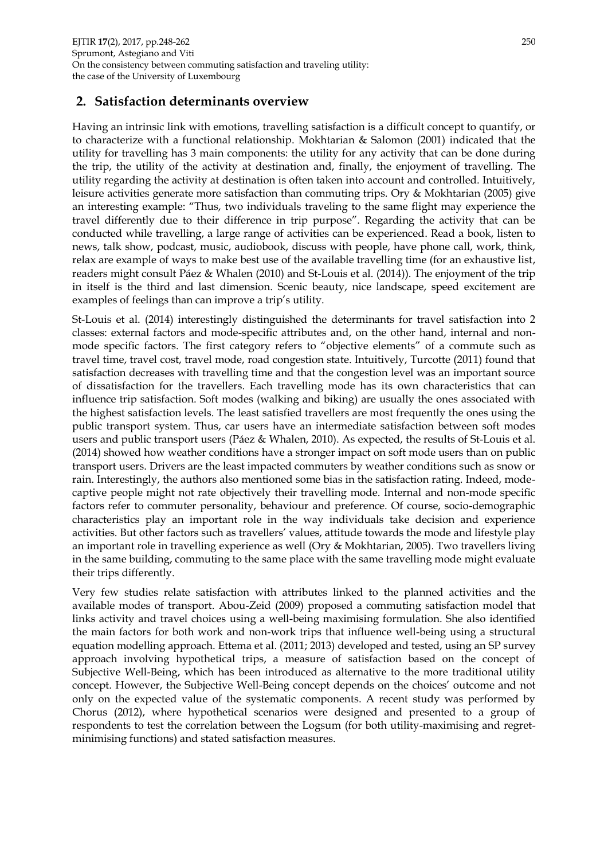# **2. Satisfaction determinants overview**

Having an intrinsic link with emotions, travelling satisfaction is a difficult concept to quantify, or to characterize with a functional relationship. Mokhtarian & Salomon (2001) indicated that the utility for travelling has 3 main components: the utility for any activity that can be done during the trip, the utility of the activity at destination and, finally, the enjoyment of travelling. The utility regarding the activity at destination is often taken into account and controlled. Intuitively, leisure activities generate more satisfaction than commuting trips. Ory & Mokhtarian (2005) give an interesting example: "Thus, two individuals traveling to the same flight may experience the travel differently due to their difference in trip purpose". Regarding the activity that can be conducted while travelling, a large range of activities can be experienced. Read a book, listen to news, talk show, podcast, music, audiobook, discuss with people, have phone call, work, think, relax are example of ways to make best use of the available travelling time (for an exhaustive list, readers might consult Páez & Whalen (2010) and St-Louis et al. (2014)). The enjoyment of the trip in itself is the third and last dimension. Scenic beauty, nice landscape, speed excitement are examples of feelings than can improve a trip's utility.

St-Louis et al. (2014) interestingly distinguished the determinants for travel satisfaction into 2 classes: external factors and mode-specific attributes and, on the other hand, internal and nonmode specific factors. The first category refers to "objective elements" of a commute such as travel time, travel cost, travel mode, road congestion state. Intuitively, Turcotte (2011) found that satisfaction decreases with travelling time and that the congestion level was an important source of dissatisfaction for the travellers. Each travelling mode has its own characteristics that can influence trip satisfaction. Soft modes (walking and biking) are usually the ones associated with the highest satisfaction levels. The least satisfied travellers are most frequently the ones using the public transport system. Thus, car users have an intermediate satisfaction between soft modes users and public transport users (Páez & Whalen, 2010). As expected, the results of St-Louis et al. (2014) showed how weather conditions have a stronger impact on soft mode users than on public transport users. Drivers are the least impacted commuters by weather conditions such as snow or rain. Interestingly, the authors also mentioned some bias in the satisfaction rating. Indeed, modecaptive people might not rate objectively their travelling mode. Internal and non-mode specific factors refer to commuter personality, behaviour and preference. Of course, socio-demographic characteristics play an important role in the way individuals take decision and experience activities. But other factors such as travellers' values, attitude towards the mode and lifestyle play an important role in travelling experience as well (Ory & Mokhtarian, 2005). Two travellers living in the same building, commuting to the same place with the same travelling mode might evaluate their trips differently.

Very few studies relate satisfaction with attributes linked to the planned activities and the available modes of transport. Abou-Zeid (2009) proposed a commuting satisfaction model that links activity and travel choices using a well-being maximising formulation. She also identified the main factors for both work and non-work trips that influence well-being using a structural equation modelling approach. Ettema et al. (2011; 2013) developed and tested, using an SP survey approach involving hypothetical trips, a measure of satisfaction based on the concept of Subjective Well-Being, which has been introduced as alternative to the more traditional utility concept. However, the Subjective Well-Being concept depends on the choices' outcome and not only on the expected value of the systematic components. A recent study was performed by Chorus (2012), where hypothetical scenarios were designed and presented to a group of respondents to test the correlation between the Logsum (for both utility-maximising and regretminimising functions) and stated satisfaction measures.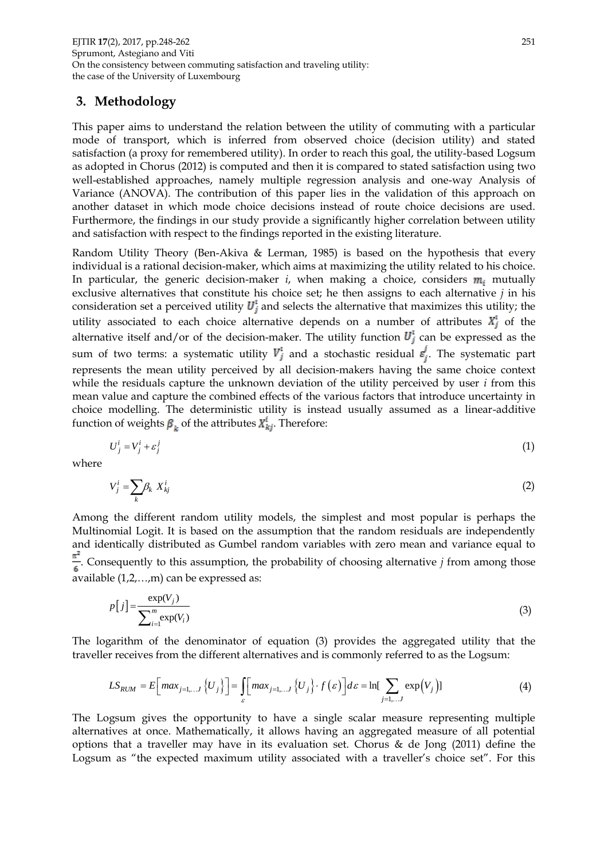#### **3. Methodology**

This paper aims to understand the relation between the utility of commuting with a particular mode of transport, which is inferred from observed choice (decision utility) and stated satisfaction (a proxy for remembered utility). In order to reach this goal, the utility-based Logsum as adopted in Chorus (2012) is computed and then it is compared to stated satisfaction using two well-established approaches, namely multiple regression analysis and one-way Analysis of Variance (ANOVA). The contribution of this paper lies in the validation of this approach on another dataset in which mode choice decisions instead of route choice decisions are used. Furthermore, the findings in our study provide a significantly higher correlation between utility and satisfaction with respect to the findings reported in the existing literature.

Random Utility Theory (Ben-Akiva & Lerman, 1985) is based on the hypothesis that every individual is a rational decision-maker, which aims at maximizing the utility related to his choice. In particular, the generic decision-maker  $i$ , when making a choice, considers  $m_i$  mutually exclusive alternatives that constitute his choice set; he then assigns to each alternative *j* in his consideration set a perceived utility  $U_i^{\dagger}$  and selects the alternative that maximizes this utility; the utility associated to each choice alternative depends on a number of attributes  $X_i^{\mathrm{t}}$  of the alternative itself and/or of the decision-maker. The utility function  $U_j^1$  can be expressed as the sum of two terms: a systematic utility  $V_j^1$  and a stochastic residual  $\varepsilon_j^j$ . The systematic part represents the mean utility perceived by all decision-makers having the same choice context while the residuals capture the unknown deviation of the utility perceived by user *i* from this mean value and capture the combined effects of the various factors that introduce uncertainty in choice modelling. The deterministic utility is instead usually assumed as a linear-additive function of weights  $\beta_k$  of the attributes  $X_{ki}^i$ . Therefore:

$$
U_j^i = V_j^i + \varepsilon_j^j \tag{1}
$$

where

$$
V_j^i = \sum_k \beta_k X_{kj}^i \tag{2}
$$

Among the different random utility models, the simplest and most popular is perhaps the Multinomial Logit. It is based on the assumption that the random residuals are independently and identically distributed as Gumbel random variables with zero mean and variance equal to  $\frac{\pi^2}{6}$ . Consequently to this assumption, the probability of choosing alternative *j* from among those available (1,2,…,m) can be expressed as:

$$
p[j] = \frac{\exp(V_j)}{\sum_{i=1}^{m} \exp(V_i)}
$$
(3)

The logarithm of the denominator of equation (3) provides the aggregated utility that the

traveller receives from the different alternatives and is commonly referred to as the Logsum:  
\n
$$
LS_{RUM} = E\Big[ max_{j=1,...,J} \{U_j\} \Big] = \int_{\varepsilon} \Big[ max_{j=1,...,J} \{U_j\} \cdot f(\varepsilon) \Big] d\varepsilon = \ln[\sum_{j=1,...,J} \exp(V_j)] \tag{4}
$$

The Logsum gives the opportunity to have a single scalar measure representing multiple alternatives at once. Mathematically, it allows having an aggregated measure of all potential options that a traveller may have in its evaluation set. Chorus  $\&$  de Jong (2011) define the Logsum as "the expected maximum utility associated with a traveller's choice set". For this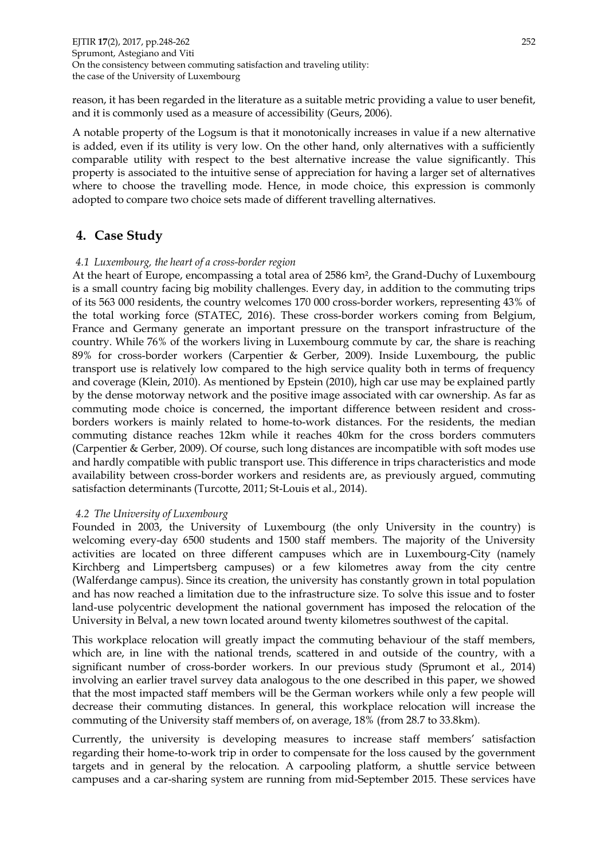reason, it has been regarded in the literature as a suitable metric providing a value to user benefit, and it is commonly used as a measure of accessibility (Geurs, 2006).

A notable property of the Logsum is that it monotonically increases in value if a new alternative is added, even if its utility is very low. On the other hand, only alternatives with a sufficiently comparable utility with respect to the best alternative increase the value significantly. This property is associated to the intuitive sense of appreciation for having a larger set of alternatives where to choose the travelling mode. Hence, in mode choice, this expression is commonly adopted to compare two choice sets made of different travelling alternatives.

# **4. Case Study**

#### *4.1 Luxembourg, the heart of a cross-border region*

At the heart of Europe, encompassing a total area of 2586 km², the Grand-Duchy of Luxembourg is a small country facing big mobility challenges. Every day, in addition to the commuting trips of its 563 000 residents, the country welcomes 170 000 cross-border workers, representing 43% of the total working force (STATEC, 2016). These cross-border workers coming from Belgium, France and Germany generate an important pressure on the transport infrastructure of the country. While 76% of the workers living in Luxembourg commute by car, the share is reaching 89% for cross-border workers (Carpentier & Gerber, 2009). Inside Luxembourg, the public transport use is relatively low compared to the high service quality both in terms of frequency and coverage (Klein, 2010). As mentioned by Epstein (2010), high car use may be explained partly by the dense motorway network and the positive image associated with car ownership. As far as commuting mode choice is concerned, the important difference between resident and crossborders workers is mainly related to home-to-work distances. For the residents, the median commuting distance reaches 12km while it reaches 40km for the cross borders commuters (Carpentier & Gerber, 2009). Of course, such long distances are incompatible with soft modes use and hardly compatible with public transport use. This difference in trips characteristics and mode availability between cross-border workers and residents are, as previously argued, commuting satisfaction determinants (Turcotte, 2011; St-Louis et al., 2014).

#### *4.2 The University of Luxembourg*

Founded in 2003, the University of Luxembourg (the only University in the country) is welcoming every-day 6500 students and 1500 staff members. The majority of the University activities are located on three different campuses which are in Luxembourg-City (namely Kirchberg and Limpertsberg campuses) or a few kilometres away from the city centre (Walferdange campus). Since its creation, the university has constantly grown in total population and has now reached a limitation due to the infrastructure size. To solve this issue and to foster land-use polycentric development the national government has imposed the relocation of the University in Belval, a new town located around twenty kilometres southwest of the capital.

This workplace relocation will greatly impact the commuting behaviour of the staff members, which are, in line with the national trends, scattered in and outside of the country, with a significant number of cross-border workers. In our previous study (Sprumont et al., 2014) involving an earlier travel survey data analogous to the one described in this paper, we showed that the most impacted staff members will be the German workers while only a few people will decrease their commuting distances. In general, this workplace relocation will increase the commuting of the University staff members of, on average, 18% (from 28.7 to 33.8km).

Currently, the university is developing measures to increase staff members' satisfaction regarding their home-to-work trip in order to compensate for the loss caused by the government targets and in general by the relocation. A carpooling platform, a shuttle service between campuses and a car-sharing system are running from mid-September 2015. These services have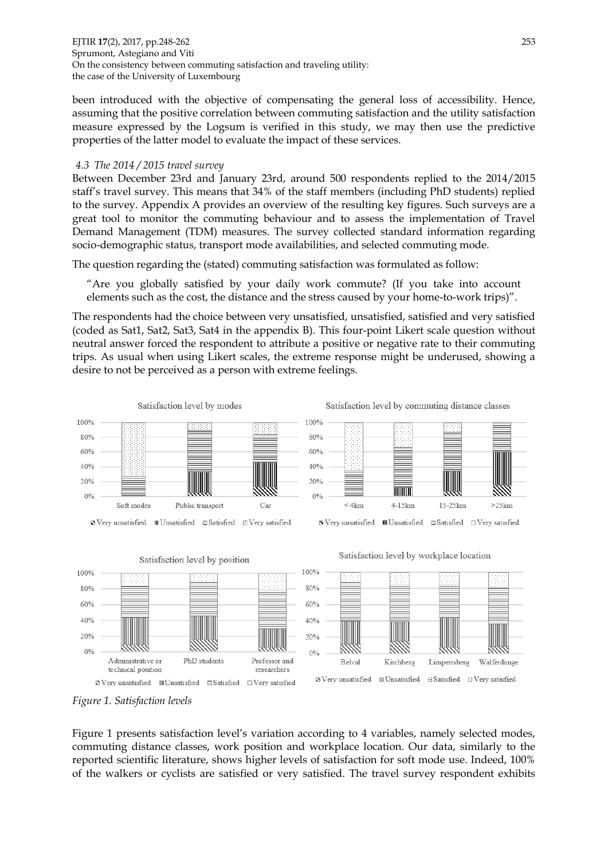EJTIR **17**(2), 2017, pp.248-262 253 Sprumont, Astegiano and Viti On the consistency between commuting satisfaction and traveling utility: the case of the University of Luxembourg

been introduced with the objective of compensating the general loss of accessibility. Hence, assuming that the positive correlation between commuting satisfaction and the utility satisfaction measure expressed by the Logsum is verified in this study, we may then use the predictive properties of the latter model to evaluate the impact of these services.

#### *4.3 The 2014 / 2015 travel survey*

Between December 23rd and January 23rd, around 500 respondents replied to the 2014/2015 staff's travel survey. This means that 34% of the staff members (including PhD students) replied to the survey. Appendix A provides an overview of the resulting key figures. Such surveys are a great tool to monitor the commuting behaviour and to assess the implementation of Travel Demand Management (TDM) measures. The survey collected standard information regarding socio-demographic status, transport mode availabilities, and selected commuting mode.

The question regarding the (stated) commuting satisfaction was formulated as follow:

"Are you globally satisfied by your daily work commute? (If you take into account elements such as the cost, the distance and the stress caused by your home-to-work trips)".

The respondents had the choice between very unsatisfied, unsatisfied, satisfied and very satisfied (coded as Sat1, Sat2, Sat3, Sat4 in the appendix B). This four-point Likert scale question without neutral answer forced the respondent to attribute a positive or negative rate to their commuting trips. As usual when using Likert scales, the extreme response might be underused, showing a desire to not be perceived as a person with extreme feelings.





Figure 1 presents satisfaction level's variation according to 4 variables, namely selected modes, commuting distance classes, work position and workplace location. Our data, similarly to the reported scientific literature, shows higher levels of satisfaction for soft mode use. Indeed, 100% of the walkers or cyclists are satisfied or very satisfied. The travel survey respondent exhibits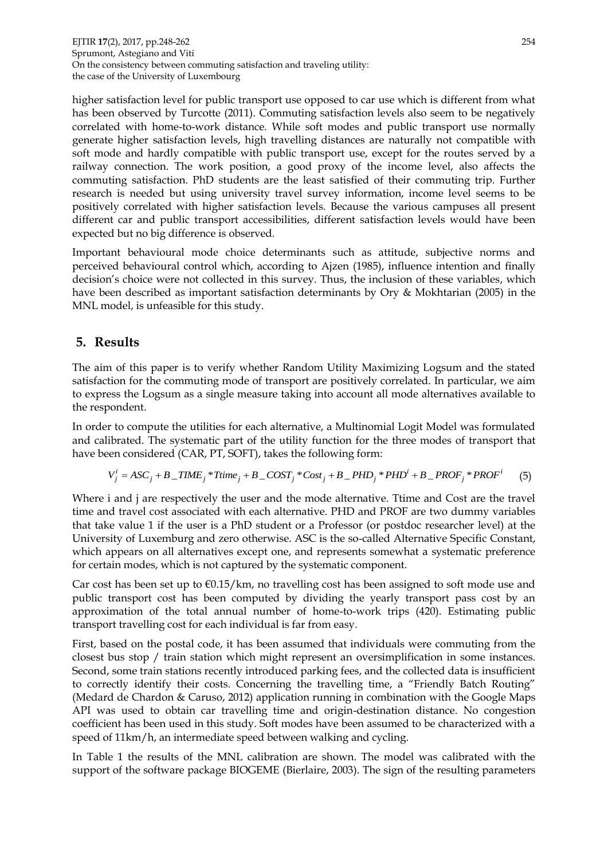EJTIR **17**(2), 2017, pp.248-262 254 Sprumont, Astegiano and Viti On the consistency between commuting satisfaction and traveling utility: the case of the University of Luxembourg

higher satisfaction level for public transport use opposed to car use which is different from what has been observed by Turcotte (2011). Commuting satisfaction levels also seem to be negatively correlated with home-to-work distance. While soft modes and public transport use normally generate higher satisfaction levels, high travelling distances are naturally not compatible with soft mode and hardly compatible with public transport use, except for the routes served by a railway connection. The work position, a good proxy of the income level, also affects the commuting satisfaction. PhD students are the least satisfied of their commuting trip. Further research is needed but using university travel survey information, income level seems to be positively correlated with higher satisfaction levels. Because the various campuses all present different car and public transport accessibilities, different satisfaction levels would have been expected but no big difference is observed.

Important behavioural mode choice determinants such as attitude, subjective norms and perceived behavioural control which, according to Ajzen (1985), influence intention and finally decision's choice were not collected in this survey. Thus, the inclusion of these variables, which have been described as important satisfaction determinants by Ory & Mokhtarian (2005) in the MNL model, is unfeasible for this study.

# **5. Results**

The aim of this paper is to verify whether Random Utility Maximizing Logsum and the stated satisfaction for the commuting mode of transport are positively correlated. In particular, we aim to express the Logsum as a single measure taking into account all mode alternatives available to the respondent.

In order to compute the utilities for each alternative, a Multinomial Logit Model was formulated and calibrated. The systematic part of the utility function for the three modes of transport that have been considered (CAR, PT, SOFT), takes the following form:<br>  $V_j^i = ASC_j + B\_TIME_j * Time_j + B\_COST_j * Cost_j + B\_PHD_j * PHD^i + B\_PROF_j * PROF^i$  (5) have been considered (CAR, PT, SOFT), takes the following form:

$$
V_j^i = ASC_j + B\_TIME_j *Time_j + B\_COST_j * Cost_j + B\_PHD_j * PHD^i + B\_PROF_j * PROF^i
$$
 (5)

Where i and j are respectively the user and the mode alternative. Ttime and Cost are the travel time and travel cost associated with each alternative. PHD and PROF are two dummy variables that take value 1 if the user is a PhD student or a Professor (or postdoc researcher level) at the University of Luxemburg and zero otherwise. ASC is the so-called Alternative Specific Constant, which appears on all alternatives except one, and represents somewhat a systematic preference for certain modes, which is not captured by the systematic component.

Car cost has been set up to  $\epsilon$ 0.15/km, no travelling cost has been assigned to soft mode use and public transport cost has been computed by dividing the yearly transport pass cost by an approximation of the total annual number of home-to-work trips (420). Estimating public transport travelling cost for each individual is far from easy.

First, based on the postal code, it has been assumed that individuals were commuting from the closest bus stop / train station which might represent an oversimplification in some instances. Second, some train stations recently introduced parking fees, and the collected data is insufficient to correctly identify their costs. Concerning the travelling time, a "Friendly Batch Routing" (Medard de Chardon & Caruso, 2012) application running in combination with the Google Maps API was used to obtain car travelling time and origin-destination distance. No congestion coefficient has been used in this study. Soft modes have been assumed to be characterized with a speed of 11km/h, an intermediate speed between walking and cycling.

In Table 1 the results of the MNL calibration are shown. The model was calibrated with the support of the software package BIOGEME (Bierlaire, 2003). The sign of the resulting parameters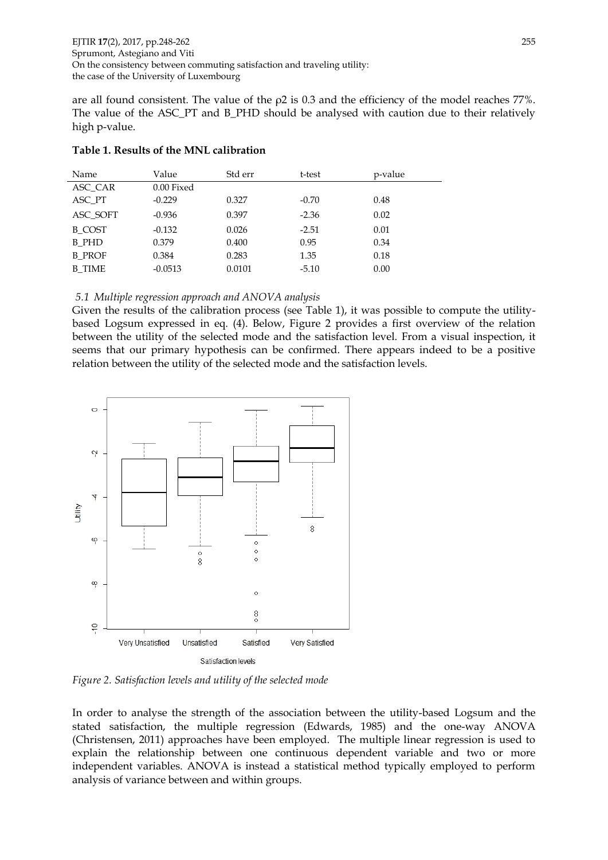are all found consistent. The value of the  $\rho$ 2 is 0.3 and the efficiency of the model reaches 77%. The value of the ASC\_PT and B\_PHD should be analysed with caution due to their relatively high p-value.

| Name          | Value      | Std err | t-test  | p-value |
|---------------|------------|---------|---------|---------|
| ASC_CAR       | 0.00 Fixed |         |         |         |
| ASC PT        | $-0.229$   | 0.327   | $-0.70$ | 0.48    |
| ASC SOFT      | $-0.936$   | 0.397   | $-2.36$ | 0.02    |
| <b>B</b> COST | $-0.132$   | 0.026   | $-2.51$ | 0.01    |
| <b>B</b> PHD  | 0.379      | 0.400   | 0.95    | 0.34    |
| <b>B</b> PROF | 0.384      | 0.283   | 1.35    | 0.18    |
| <b>B</b> TIME | $-0.0513$  | 0.0101  | $-5.10$ | 0.00    |
|               |            |         |         |         |

#### **Table 1. Results of the MNL calibration**

#### *5.1 Multiple regression approach and ANOVA analysis*

Given the results of the calibration process (see Table 1), it was possible to compute the utilitybased Logsum expressed in eq. (4). Below, Figure 2 provides a first overview of the relation between the utility of the selected mode and the satisfaction level. From a visual inspection, it seems that our primary hypothesis can be confirmed. There appears indeed to be a positive relation between the utility of the selected mode and the satisfaction levels.



*Figure 2. Satisfaction levels and utility of the selected mode*

In order to analyse the strength of the association between the utility-based Logsum and the stated satisfaction, the multiple regression (Edwards, 1985) and the one-way ANOVA (Christensen, 2011) approaches have been employed. The multiple linear regression is used to explain the relationship between one continuous dependent variable and two or more independent variables. ANOVA is instead a statistical method typically employed to perform analysis of variance between and within groups.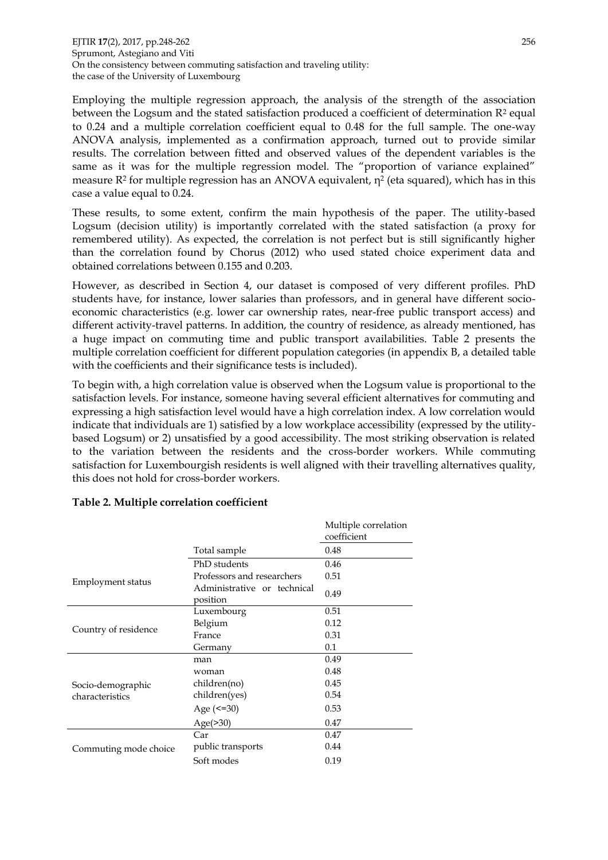EJTIR **17**(2), 2017, pp.248-262 256 Sprumont, Astegiano and Viti On the consistency between commuting satisfaction and traveling utility: the case of the University of Luxembourg

Employing the multiple regression approach, the analysis of the strength of the association between the Logsum and the stated satisfaction produced a coefficient of determination  $\mathbb{R}^2$  equal to 0.24 and a multiple correlation coefficient equal to 0.48 for the full sample. The one-way ANOVA analysis, implemented as a confirmation approach, turned out to provide similar results. The correlation between fitted and observed values of the dependent variables is the same as it was for the multiple regression model. The "proportion of variance explained" measure  $\mathbb{R}^2$  for multiple regression has an ANOVA equivalent,  $\eta^2$  (eta squared), which has in this case a value equal to 0.24.

These results, to some extent, confirm the main hypothesis of the paper. The utility-based Logsum (decision utility) is importantly correlated with the stated satisfaction (a proxy for remembered utility). As expected, the correlation is not perfect but is still significantly higher than the correlation found by Chorus (2012) who used stated choice experiment data and obtained correlations between 0.155 and 0.203.

However, as described in Section 4, our dataset is composed of very different profiles. PhD students have, for instance, lower salaries than professors, and in general have different socioeconomic characteristics (e.g. lower car ownership rates, near-free public transport access) and different activity-travel patterns. In addition, the country of residence, as already mentioned, has a huge impact on commuting time and public transport availabilities. Table 2 presents the multiple correlation coefficient for different population categories (in appendix B, a detailed table with the coefficients and their significance tests is included).

To begin with, a high correlation value is observed when the Logsum value is proportional to the satisfaction levels. For instance, someone having several efficient alternatives for commuting and expressing a high satisfaction level would have a high correlation index. A low correlation would indicate that individuals are 1) satisfied by a low workplace accessibility (expressed by the utilitybased Logsum) or 2) unsatisfied by a good accessibility. The most striking observation is related to the variation between the residents and the cross-border workers. While commuting satisfaction for Luxembourgish residents is well aligned with their travelling alternatives quality, this does not hold for cross-border workers.

|                       |                                         | Multiple correlation<br>coefficient |
|-----------------------|-----------------------------------------|-------------------------------------|
|                       | Total sample                            | 0.48                                |
|                       | PhD students                            | 0.46                                |
|                       | Professors and researchers              | 0.51                                |
| Employment status     | Administrative or technical<br>position | 0.49                                |
|                       | Luxembourg                              | 0.51                                |
|                       | Belgium                                 | 0.12                                |
| Country of residence  | France                                  | 0.31                                |
|                       | Germany                                 | 0.1                                 |
|                       | man                                     | 0.49                                |
|                       | woman                                   | 0.48                                |
| Socio-demographic     | children(no)                            | 0.45                                |
| characteristics       | children(yes)                           | 0.54                                |
|                       | Age $(\leq=30)$                         | 0.53                                |
|                       | Age(>30)                                | 0.47                                |
|                       | Car                                     | 0.47                                |
| Commuting mode choice | public transports                       | 0.44                                |
|                       | Soft modes                              | 0.19                                |

#### **Table 2. Multiple correlation coefficient**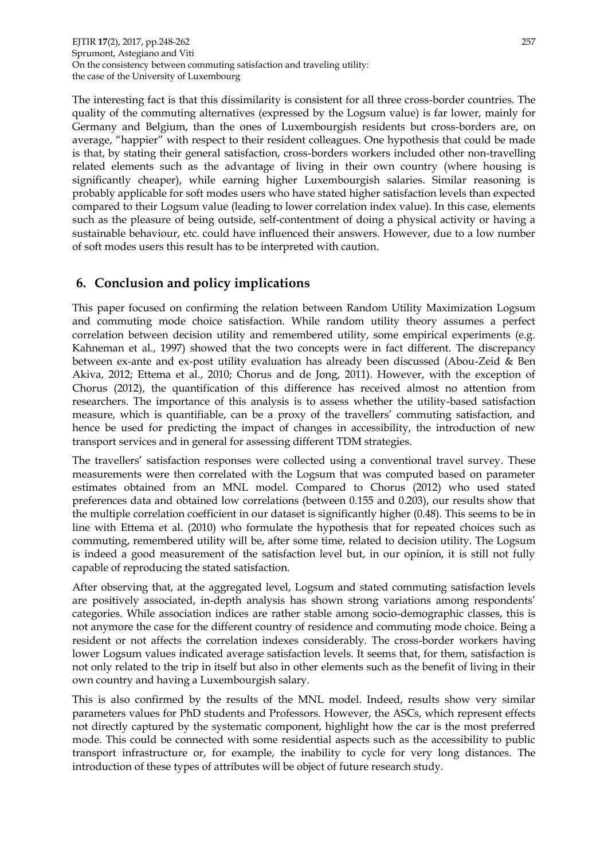EJTIR **17**(2), 2017, pp.248-262 257 Sprumont, Astegiano and Viti On the consistency between commuting satisfaction and traveling utility: the case of the University of Luxembourg

The interesting fact is that this dissimilarity is consistent for all three cross-border countries. The quality of the commuting alternatives (expressed by the Logsum value) is far lower, mainly for Germany and Belgium, than the ones of Luxembourgish residents but cross-borders are, on average, "happier" with respect to their resident colleagues. One hypothesis that could be made is that, by stating their general satisfaction, cross-borders workers included other non-travelling related elements such as the advantage of living in their own country (where housing is significantly cheaper), while earning higher Luxembourgish salaries. Similar reasoning is probably applicable for soft modes users who have stated higher satisfaction levels than expected compared to their Logsum value (leading to lower correlation index value). In this case, elements such as the pleasure of being outside, self-contentment of doing a physical activity or having a sustainable behaviour, etc. could have influenced their answers. However, due to a low number of soft modes users this result has to be interpreted with caution.

# **6. Conclusion and policy implications**

This paper focused on confirming the relation between Random Utility Maximization Logsum and commuting mode choice satisfaction. While random utility theory assumes a perfect correlation between decision utility and remembered utility, some empirical experiments (e.g. Kahneman et al., 1997) showed that the two concepts were in fact different. The discrepancy between ex-ante and ex-post utility evaluation has already been discussed (Abou-Zeid & Ben Akiva, 2012; Ettema et al., 2010; Chorus and de Jong, 2011). However, with the exception of Chorus (2012), the quantification of this difference has received almost no attention from researchers. The importance of this analysis is to assess whether the utility-based satisfaction measure, which is quantifiable, can be a proxy of the travellers' commuting satisfaction, and hence be used for predicting the impact of changes in accessibility, the introduction of new transport services and in general for assessing different TDM strategies.

The travellers' satisfaction responses were collected using a conventional travel survey. These measurements were then correlated with the Logsum that was computed based on parameter estimates obtained from an MNL model. Compared to Chorus (2012) who used stated preferences data and obtained low correlations (between 0.155 and 0.203), our results show that the multiple correlation coefficient in our dataset is significantly higher (0.48). This seems to be in line with Ettema et al. (2010) who formulate the hypothesis that for repeated choices such as commuting, remembered utility will be, after some time, related to decision utility. The Logsum is indeed a good measurement of the satisfaction level but, in our opinion, it is still not fully capable of reproducing the stated satisfaction.

After observing that, at the aggregated level, Logsum and stated commuting satisfaction levels are positively associated, in-depth analysis has shown strong variations among respondents' categories. While association indices are rather stable among socio-demographic classes, this is not anymore the case for the different country of residence and commuting mode choice. Being a resident or not affects the correlation indexes considerably. The cross-border workers having lower Logsum values indicated average satisfaction levels. It seems that, for them, satisfaction is not only related to the trip in itself but also in other elements such as the benefit of living in their own country and having a Luxembourgish salary.

This is also confirmed by the results of the MNL model. Indeed, results show very similar parameters values for PhD students and Professors. However, the ASCs, which represent effects not directly captured by the systematic component, highlight how the car is the most preferred mode. This could be connected with some residential aspects such as the accessibility to public transport infrastructure or, for example, the inability to cycle for very long distances. The introduction of these types of attributes will be object of future research study.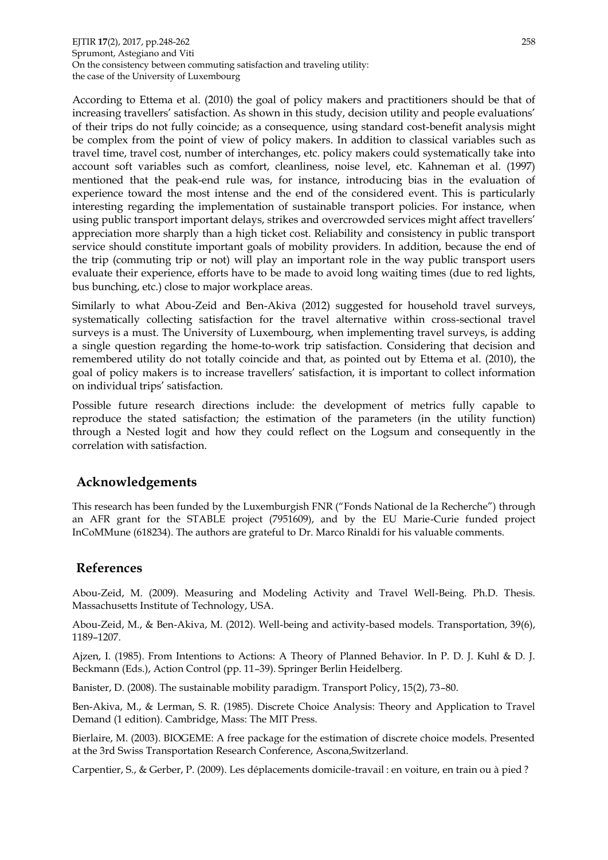EJTIR **17**(2), 2017, pp.248-262 258 Sprumont, Astegiano and Viti On the consistency between commuting satisfaction and traveling utility: the case of the University of Luxembourg

According to Ettema et al. (2010) the goal of policy makers and practitioners should be that of increasing travellers' satisfaction. As shown in this study, decision utility and people evaluations' of their trips do not fully coincide; as a consequence, using standard cost-benefit analysis might be complex from the point of view of policy makers. In addition to classical variables such as travel time, travel cost, number of interchanges, etc. policy makers could systematically take into account soft variables such as comfort, cleanliness, noise level, etc. Kahneman et al. (1997) mentioned that the peak-end rule was, for instance, introducing bias in the evaluation of experience toward the most intense and the end of the considered event. This is particularly interesting regarding the implementation of sustainable transport policies. For instance, when using public transport important delays, strikes and overcrowded services might affect travellers' appreciation more sharply than a high ticket cost. Reliability and consistency in public transport service should constitute important goals of mobility providers. In addition, because the end of the trip (commuting trip or not) will play an important role in the way public transport users evaluate their experience, efforts have to be made to avoid long waiting times (due to red lights, bus bunching, etc.) close to major workplace areas.

Similarly to what Abou-Zeid and Ben-Akiva (2012) suggested for household travel surveys, systematically collecting satisfaction for the travel alternative within cross-sectional travel surveys is a must. The University of Luxembourg, when implementing travel surveys, is adding a single question regarding the home-to-work trip satisfaction. Considering that decision and remembered utility do not totally coincide and that, as pointed out by Ettema et al. (2010), the goal of policy makers is to increase travellers' satisfaction, it is important to collect information on individual trips' satisfaction.

Possible future research directions include: the development of metrics fully capable to reproduce the stated satisfaction; the estimation of the parameters (in the utility function) through a Nested logit and how they could reflect on the Logsum and consequently in the correlation with satisfaction.

#### **Acknowledgements**

This research has been funded by the Luxemburgish FNR ("Fonds National de la Recherche") through an AFR grant for the STABLE project (7951609), and by the EU Marie-Curie funded project InCoMMune (618234). The authors are grateful to Dr. Marco Rinaldi for his valuable comments.

#### **References**

Abou-Zeid, M. (2009). Measuring and Modeling Activity and Travel Well-Being. Ph.D. Thesis. Massachusetts Institute of Technology, USA.

Abou-Zeid, M., & Ben-Akiva, M. (2012). Well-being and activity-based models. Transportation, 39(6), 1189–1207.

Ajzen, I. (1985). From Intentions to Actions: A Theory of Planned Behavior. In P. D. J. Kuhl & D. J. Beckmann (Eds.), Action Control (pp. 11–39). Springer Berlin Heidelberg.

Banister, D. (2008). The sustainable mobility paradigm. Transport Policy, 15(2), 73–80.

Ben-Akiva, M., & Lerman, S. R. (1985). Discrete Choice Analysis: Theory and Application to Travel Demand (1 edition). Cambridge, Mass: The MIT Press.

Bierlaire, M. (2003). BIOGEME: A free package for the estimation of discrete choice models. Presented at the 3rd Swiss Transportation Research Conference, Ascona,Switzerland.

Carpentier, S., & Gerber, P. (2009). Les déplacements domicile-travail : en voiture, en train ou à pied ?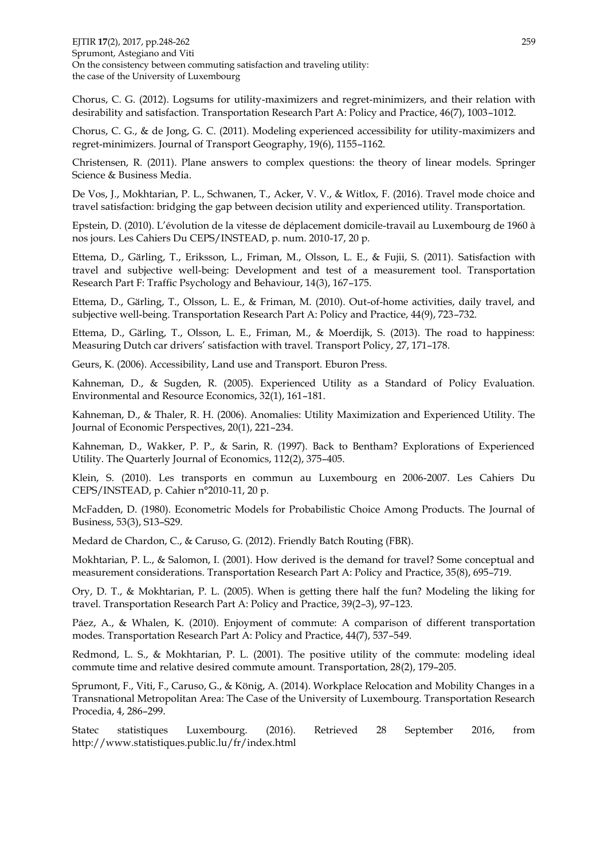EJTIR **17**(2), 2017, pp.248-262 259 Sprumont, Astegiano and Viti On the consistency between commuting satisfaction and traveling utility: the case of the University of Luxembourg

Chorus, C. G. (2012). Logsums for utility-maximizers and regret-minimizers, and their relation with desirability and satisfaction. Transportation Research Part A: Policy and Practice, 46(7), 1003–1012.

Chorus, C. G., & de Jong, G. C. (2011). Modeling experienced accessibility for utility-maximizers and regret-minimizers. Journal of Transport Geography, 19(6), 1155–1162.

Christensen, R. (2011). Plane answers to complex questions: the theory of linear models. Springer Science & Business Media.

De Vos, J., Mokhtarian, P. L., Schwanen, T., Acker, V. V., & Witlox, F. (2016). Travel mode choice and travel satisfaction: bridging the gap between decision utility and experienced utility. Transportation.

Epstein, D. (2010). L'évolution de la vitesse de déplacement domicile-travail au Luxembourg de 1960 à nos jours. Les Cahiers Du CEPS/INSTEAD, p. num. 2010-17, 20 p.

Ettema, D., Gärling, T., Eriksson, L., Friman, M., Olsson, L. E., & Fujii, S. (2011). Satisfaction with travel and subjective well-being: Development and test of a measurement tool. Transportation Research Part F: Traffic Psychology and Behaviour, 14(3), 167–175.

Ettema, D., Gärling, T., Olsson, L. E., & Friman, M. (2010). Out-of-home activities, daily travel, and subjective well-being. Transportation Research Part A: Policy and Practice, 44(9), 723–732.

Ettema, D., Gärling, T., Olsson, L. E., Friman, M., & Moerdijk, S. (2013). The road to happiness: Measuring Dutch car drivers' satisfaction with travel. Transport Policy, 27, 171–178.

Geurs, K. (2006). Accessibility, Land use and Transport. Eburon Press.

Kahneman, D., & Sugden, R. (2005). Experienced Utility as a Standard of Policy Evaluation. Environmental and Resource Economics, 32(1), 161–181.

Kahneman, D., & Thaler, R. H. (2006). Anomalies: Utility Maximization and Experienced Utility. The Journal of Economic Perspectives, 20(1), 221–234.

Kahneman, D., Wakker, P. P., & Sarin, R. (1997). Back to Bentham? Explorations of Experienced Utility. The Quarterly Journal of Economics, 112(2), 375–405.

Klein, S. (2010). Les transports en commun au Luxembourg en 2006-2007. Les Cahiers Du CEPS/INSTEAD, p. Cahier n°2010-11, 20 p.

McFadden, D. (1980). Econometric Models for Probabilistic Choice Among Products. The Journal of Business, 53(3), S13–S29.

Medard de Chardon, C., & Caruso, G. (2012). Friendly Batch Routing (FBR).

Mokhtarian, P. L., & Salomon, I. (2001). How derived is the demand for travel? Some conceptual and measurement considerations. Transportation Research Part A: Policy and Practice, 35(8), 695–719.

Ory, D. T., & Mokhtarian, P. L. (2005). When is getting there half the fun? Modeling the liking for travel. Transportation Research Part A: Policy and Practice, 39(2–3), 97–123.

Páez, A., & Whalen, K. (2010). Enjoyment of commute: A comparison of different transportation modes. Transportation Research Part A: Policy and Practice, 44(7), 537–549.

Redmond, L. S., & Mokhtarian, P. L. (2001). The positive utility of the commute: modeling ideal commute time and relative desired commute amount. Transportation, 28(2), 179–205.

Sprumont, F., Viti, F., Caruso, G., & König, A. (2014). Workplace Relocation and Mobility Changes in a Transnational Metropolitan Area: The Case of the University of Luxembourg. Transportation Research Procedia, 4, 286–299.

Statec statistiques Luxembourg. (2016). Retrieved 28 September 2016, from http://www.statistiques.public.lu/fr/index.html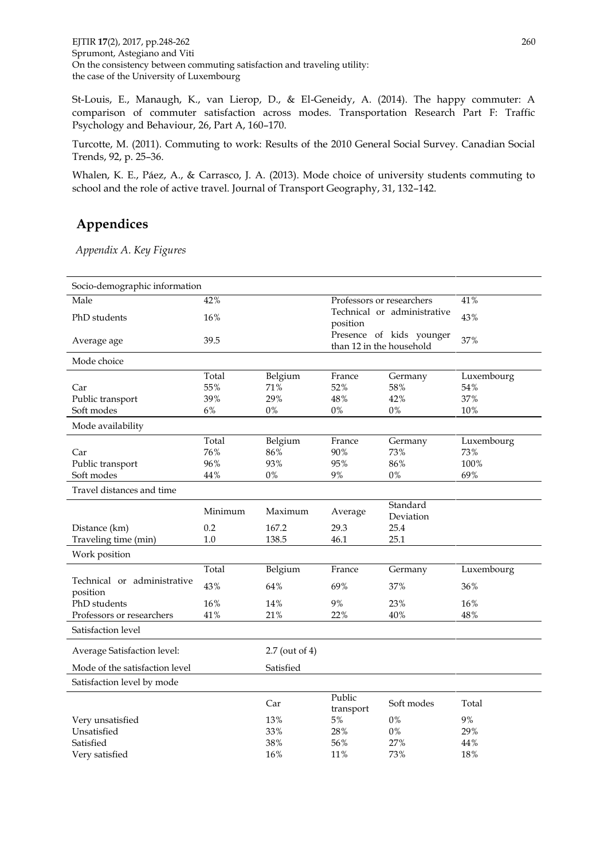EJTIR **17**(2), 2017, pp.248-262 260 Sprumont, Astegiano and Viti On the consistency between commuting satisfaction and traveling utility: the case of the University of Luxembourg

St-Louis, E., Manaugh, K., van Lierop, D., & El-Geneidy, A. (2014). The happy commuter: A comparison of commuter satisfaction across modes. Transportation Research Part F: Traffic Psychology and Behaviour, 26, Part A, 160–170.

Turcotte, M. (2011). Commuting to work: Results of the 2010 General Social Survey. Canadian Social Trends, 92, p. 25–36.

Whalen, K. E., Páez, A., & Carrasco, J. A. (2013). Mode choice of university students commuting to school and the role of active travel. Journal of Transport Geography, 31, 132–142.

# **Appendices**

*Appendix A. Key Figures*

| Socio-demographic information           |         |                  |                                                      |                             |            |
|-----------------------------------------|---------|------------------|------------------------------------------------------|-----------------------------|------------|
| Male                                    | 42%     |                  | Professors or researchers                            |                             | 41%        |
| PhD students                            | 16%     |                  | position                                             | Technical or administrative | 43%        |
| Average age                             | 39.5    |                  | Presence of kids younger<br>than 12 in the household |                             | 37%        |
| Mode choice                             |         |                  |                                                      |                             |            |
|                                         | Total   | Belgium          | France                                               | Germany                     | Luxembourg |
| Car                                     | 55%     | $71\%$           | 52%                                                  | 58%                         | 54%        |
| Public transport                        | 39%     | 29%              | 48%                                                  | 42%                         | 37%        |
| Soft modes                              | 6%      | $0\%$            | $0\%$                                                | 0%                          | 10%        |
| Mode availability                       |         |                  |                                                      |                             |            |
|                                         | Total   | Belgium          | France                                               | Germany                     | Luxembourg |
| Car                                     | 76%     | 86%              | 90%                                                  | 73%                         | 73%        |
| Public transport                        | 96%     | 93%              | 95%                                                  | 86%                         | 100%       |
| Soft modes                              | 44%     | 0%               | 9%                                                   | 0%                          | 69%        |
| Travel distances and time               |         |                  |                                                      |                             |            |
|                                         | Minimum | Maximum          | Average                                              | Standard<br>Deviation       |            |
| Distance (km)                           | 0.2     | 167.2            | 29.3                                                 | 25.4                        |            |
| Traveling time (min)                    | 1.0     | 138.5            | 46.1                                                 | 25.1                        |            |
| Work position                           |         |                  |                                                      |                             |            |
|                                         | Total   | Belgium          | France                                               | Germany                     | Luxembourg |
| Technical or administrative<br>position | 43%     | 64%              | 69%                                                  | 37%                         | 36%        |
| PhD students                            | 16%     | 14%              | 9%                                                   | 23%                         | 16%        |
| Professors or researchers               | 41%     | 21%              | 22%                                                  | 40%                         | 48%        |
| Satisfaction level                      |         |                  |                                                      |                             |            |
| Average Satisfaction level:             |         | $2.7$ (out of 4) |                                                      |                             |            |
| Mode of the satisfaction level          |         | Satisfied        |                                                      |                             |            |
| Satisfaction level by mode              |         |                  |                                                      |                             |            |
|                                         |         | Car              | Public<br>transport                                  | Soft modes                  | Total      |
| Very unsatisfied                        |         | 13%              | $5\%$                                                | $0\%$                       | 9%         |
| Unsatisfied                             |         | 33%              | 28%                                                  | 0%                          | 29%        |
| Satisfied                               |         | 38%              | 56%                                                  | 27%                         | 44%        |
| Very satisfied                          |         | 16%              | 11%                                                  | 73%                         | 18%        |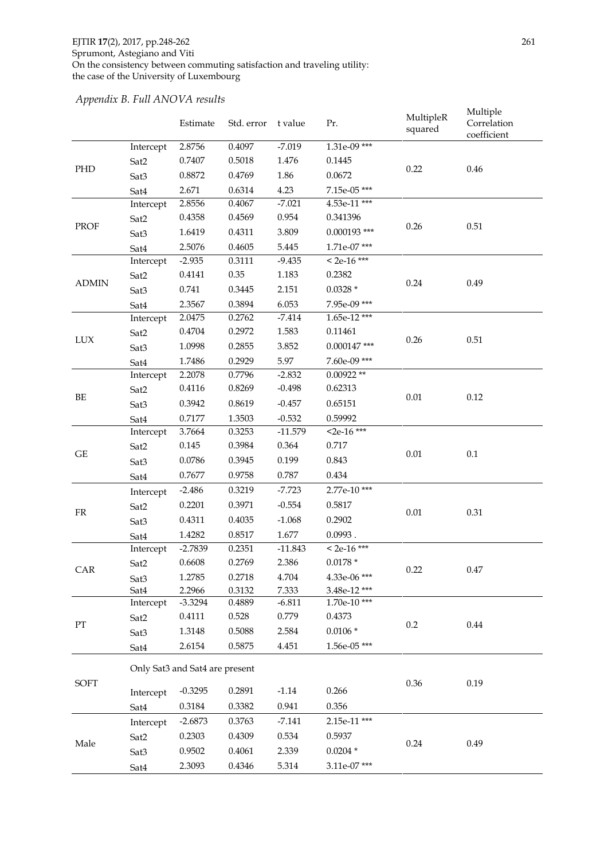#### *Appendix B. Full ANOVA results*

|                     |                  | Estimate                       | Std. error | t value   | Pr.                 | MultipleR<br>squared | Multiple<br>Correlation<br>coefficient |
|---------------------|------------------|--------------------------------|------------|-----------|---------------------|----------------------|----------------------------------------|
|                     | Intercept        | 2.8756                         | 0.4097     | $-7.019$  | $1.31e-09$ ***      |                      |                                        |
|                     | Sat2             | 0.7407                         | 0.5018     | 1.476     | 0.1445              |                      |                                        |
| PHD                 | Sat <sub>3</sub> | 0.8872                         | 0.4769     | 1.86      | 0.0672              | 0.22                 | 0.46                                   |
|                     | Sat4             | 2.671                          | 0.6314     | 4.23      | 7.15e-05 ***        |                      |                                        |
| PROF                | Intercept        | 2.8556                         | 0.4067     | $-7.021$  | 4.53e-11 ***        |                      |                                        |
|                     | Sat2             | 0.4358                         | 0.4569     | 0.954     | 0.341396            |                      |                                        |
|                     | Sat <sub>3</sub> | 1.6419                         | 0.4311     | 3.809     | $0.000193$ ***      | 0.26                 | 0.51                                   |
|                     | Sat4             | 2.5076                         | 0.4605     | 5.445     | $1.71e-07$ ***      |                      |                                        |
|                     | Intercept        | $-2.935$                       | 0.3111     | $-9.435$  | $<$ 2e-16 ***       |                      | 0.49                                   |
|                     | Sat2             | 0.4141                         | 0.35       | 1.183     | 0.2382              |                      |                                        |
| <b>ADMIN</b>        | Sat <sub>3</sub> | 0.741                          | 0.3445     | 2.151     | $0.0328*$           | 0.24                 |                                        |
|                     | Sat4             | 2.3567                         | 0.3894     | 6.053     | 7.95e-09 ***        |                      |                                        |
|                     | Intercept        | 2.0475                         | 0.2762     | $-7.414$  | $1.65e-12$ ***      |                      |                                        |
| <b>LUX</b>          | Sat2             | 0.4704                         | 0.2972     | 1.583     | 0.11461             | 0.26                 | 0.51                                   |
|                     | Sat <sub>3</sub> | 1.0998                         | 0.2855     | 3.852     | $0.000147$ ***      |                      |                                        |
|                     | Sat4             | 1.7486                         | 0.2929     | 5.97      | 7.60e-09***         |                      |                                        |
|                     | Intercept        | 2.2078                         | 0.7796     | $-2.832$  | $0.00922**$         |                      |                                        |
| BE                  | Sat2             | 0.4116                         | 0.8269     | $-0.498$  | 0.62313             | $0.01\,$             | 0.12                                   |
|                     | Sat <sub>3</sub> | 0.3942                         | 0.8619     | $-0.457$  | 0.65151             |                      |                                        |
|                     | Sat4             | 0.7177                         | 1.3503     | $-0.532$  | 0.59992             |                      |                                        |
|                     | Intercept        | 3.7664                         | 0.3253     | $-11.579$ | $2e-16$ ***         |                      | $0.1\,$                                |
| $\operatorname{GE}$ | Sat2             | 0.145                          | 0.3984     | 0.364     | 0.717               | $0.01\,$             |                                        |
|                     | Sat <sub>3</sub> | 0.0786                         | 0.3945     | 0.199     | 0.843               |                      |                                        |
|                     | Sat4             | 0.7677                         | 0.9758     | 0.787     | 0.434               |                      |                                        |
|                     | Intercept        | $-2.486$                       | 0.3219     | $-7.723$  | 2.77e-10***         |                      | 0.31                                   |
| FR                  | Sat2             | 0.2201                         | 0.3971     | $-0.554$  | 0.5817              | $0.01\,$             |                                        |
|                     | Sat <sub>3</sub> | 0.4311                         | 0.4035     | $-1.068$  | 0.2902              |                      |                                        |
|                     | Sat4             | 1.4282                         | 0.8517     | 1.677     | $0.0993$ .          |                      |                                        |
|                     | Intercept        | $-2.7839$                      | 0.2351     | $-11.843$ | $<$ 2e-16 ***       |                      | 0.47                                   |
| CAR                 | Sat2             | 0.6608                         | 0.2769     | 2.386     | $0.0178 *$          | 0.22                 |                                        |
|                     | Sat <sub>3</sub> | 1.2785                         | 0.2718     | 4.704     | 4.33e-06 ***        |                      |                                        |
|                     | Sat4             | 2.2966                         | 0.3132     | 7.333     | $3.48e-12$ ***      |                      |                                        |
|                     | Intercept        | $-3.3294$                      | 0.4889     | $-6.811$  | $1.70e-10$ ***      |                      | 0.44                                   |
| PT                  | Sat2             | 0.4111                         | 0.528      | 0.779     | 0.4373              | $0.2\,$              |                                        |
|                     | Sat3             | 1.3148                         | 0.5088     | 2.584     | $0.0106 *$          |                      |                                        |
|                     | Sat4             | 2.6154                         | 0.5875     | 4.451     | 1.56e-05***         |                      |                                        |
| SOFT                |                  | Only Sat3 and Sat4 are present |            |           |                     |                      |                                        |
|                     | Intercept        | $-0.3295$                      | 0.2891     | $-1.14$   | 0.266               | 0.36                 | 0.19                                   |
|                     | Sat4             | 0.3184                         | 0.3382     | 0.941     | 0.356               |                      |                                        |
|                     | Intercept        | $-2.6873$                      | 0.3763     | $-7.141$  | 2.15e-11 ***        |                      |                                        |
| Male                | Sat2             | 0.2303                         | 0.4309     | 0.534     | 0.5937              | 0.24                 | 0.49                                   |
|                     | Sat3             | 0.9502                         | 0.4061     | 2.339     | $0.0204$ $^{\star}$ |                      |                                        |
|                     | Sat4             | 2.3093                         | 0.4346     | 5.314     | 3.11e-07***         |                      |                                        |